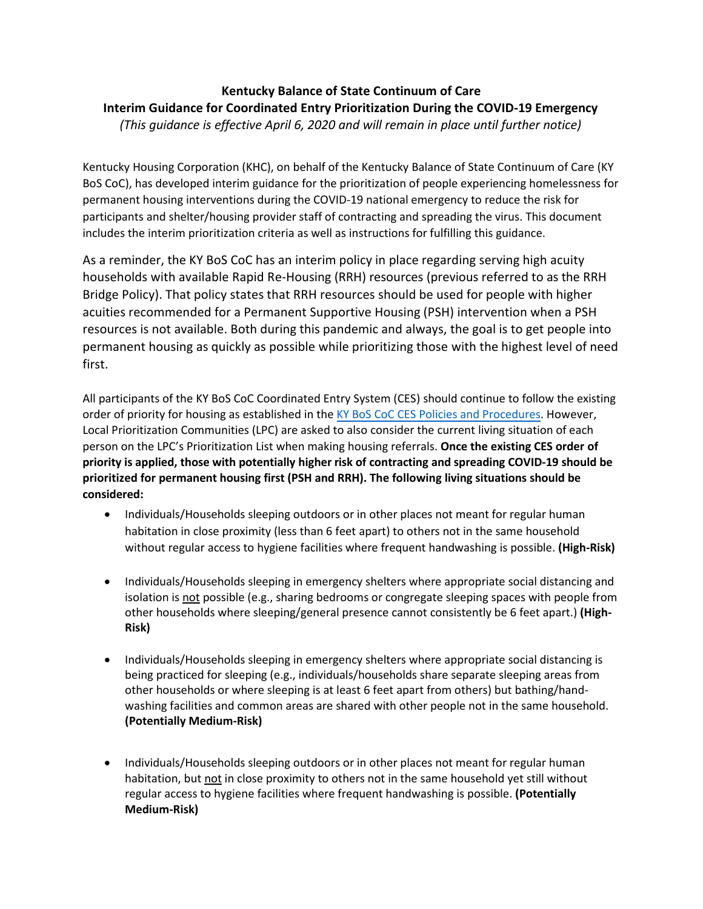## **Kentucky Balance of State Continuum of Care Interim Guidance for Coordinated Entry Prioritization During the COVID-19 Emergency**  *(This guidance is effective April 6, 2020 and will remain in place until further notice)*

Kentucky Housing Corporation (KHC), on behalf of the Kentucky Balance of State Continuum of Care (KY BoS CoC), has developed interim guidance for the prioritization of people experiencing homelessness for permanent housing interventions during the COVID-19 national emergency to reduce the risk for participants and shelter/housing provider staff of contracting and spreading the virus. This document includes the interim prioritization criteria as well as instructions for fulfilling this guidance.

As a reminder, the KY BoS CoC has an interim policy in place regarding serving high acuity households with available Rapid Re-Housing (RRH) resources (previous referred to as the RRH Bridge Policy). That policy states that RRH resources should be used for people with higher acuities recommended for a Permanent Supportive Housing (PSH) intervention when a PSH resources is not available. Both during this pandemic and always, the goal is to get people into permanent housing as quickly as possible while prioritizing those with the highest level of need first.

All participants of the KY BoS CoC Coordinated Entry System (CES) should continue to follow the existing order of priority for housing as established in the KY BoS CoC CES [Policies and Procedures.](http://www.kyhousing.org/Specialized-Housing/Documents/KY%20BoS%20Coordinated%20Entry%20Policies%20and%20Procedures.pdf) However, Local Prioritization Communities (LPC) are asked to also consider the current living situation of each person on the LPC's Prioritization List when making housing referrals. **Once the existing CES order of priority is applied, those with potentially higher risk of contracting and spreading COVID-19 should be prioritized for permanent housing first (PSH and RRH). The following living situations should be considered:** 

- Individuals/Households sleeping outdoors or in other places not meant for regular human habitation in close proximity (less than 6 feet apart) to others not in the same household without regular access to hygiene facilities where frequent handwashing is possible. **(High-Risk)**
- Individuals/Households sleeping in emergency shelters where appropriate social distancing and isolation is not possible (e.g., sharing bedrooms or congregate sleeping spaces with people from other households where sleeping/general presence cannot consistently be 6 feet apart.) **(High-Risk)**
- Individuals/Households sleeping in emergency shelters where appropriate social distancing is being practiced for sleeping (e.g., individuals/households share separate sleeping areas from other households or where sleeping is at least 6 feet apart from others) but bathing/handwashing facilities and common areas are shared with other people not in the same household. **(Potentially Medium-Risk)**
- Individuals/Households sleeping outdoors or in other places not meant for regular human habitation, but not in close proximity to others not in the same household yet still without regular access to hygiene facilities where frequent handwashing is possible. **(Potentially Medium-Risk)**